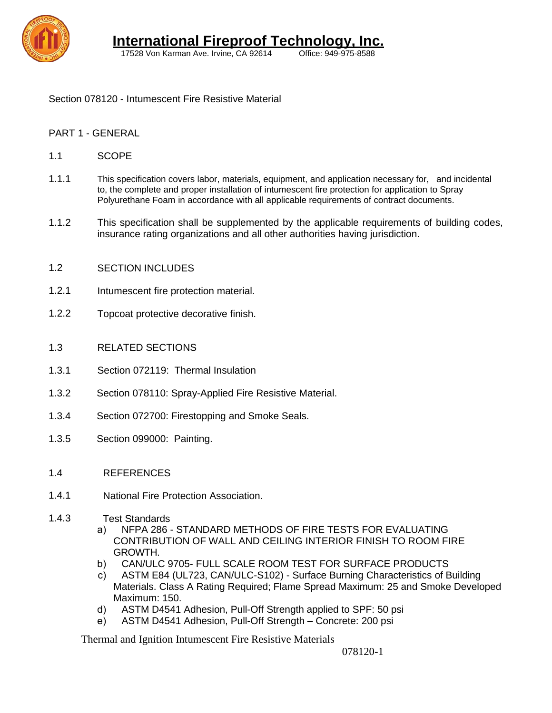

17528 Von Karman Ave. Irvine, CA 92614

Section 078120 - Intumescent Fire Resistive Material

### PART 1 - GENERAL

- 1.1 **SCOPE**
- 1.1.1 This specification covers labor, materials, equipment, and application necessary for, and incidental to, the complete and proper installation of intumescent fire protection for application to Spray Polyurethane Foam in accordance with all applicable requirements of contract documents.
- 1.1.2 This specification shall be supplemented by the applicable requirements of building codes, insurance rating organizations and all other authorities having jurisdiction.
- 1.2 SECTION INCLUDES
- 1.2.1 Intumescent fire protection material.
- 1.2.2 Topcoat protective decorative finish.
- 1.3 RELATED SECTIONS
- 1.3.1 Section 072119: Thermal Insulation
- 1.3.2 Section 078110: Spray-Applied Fire Resistive Material.
- 1.3.4 Section 072700: Firestopping and Smoke Seals.
- 1.3.5 Section 099000: Painting.
- 1.4 REFERENCES
- 1.4.1 National Fire Protection Association.
- 1.4.3 Test Standards
	- a) NFPA 286 STANDARD METHODS OF FIRE TESTS FOR EVALUATING CONTRIBUTION OF WALL AND CEILING INTERIOR FINISH TO ROOM FIRE GROWTH.
	- b) CAN/ULC 9705- FULL SCALE ROOM TEST FOR SURFACE PRODUCTS
	- c) ASTM E84 (UL723, CAN/ULC-S102) Surface Burning Characteristics of Building Materials. Class A Rating Required; Flame Spread Maximum: 25 and Smoke Developed Maximum: 150.
	- d) ASTM D4541 Adhesion, Pull-Off Strength applied to SPF: 50 psi
	- e) ASTM D4541 Adhesion, Pull-Off Strength Concrete: 200 psi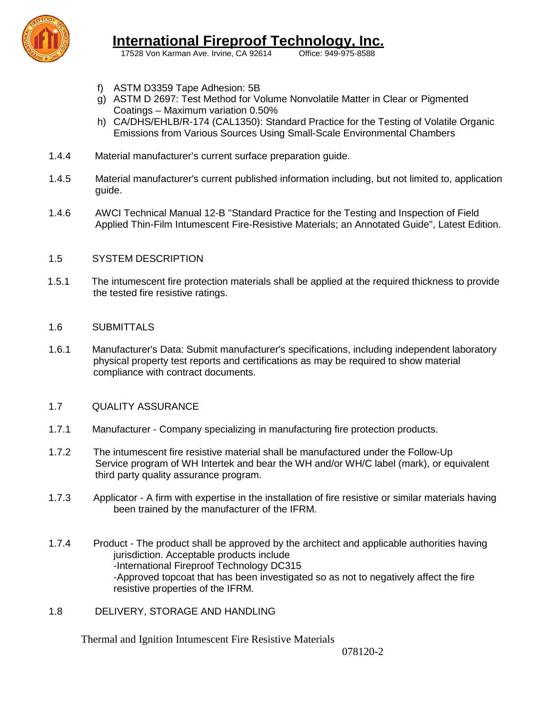

17528 Von Karman Ave. Irvine, CA 92614

- f) ASTM D3359 Tape Adhesion: 5B
- g) ASTM D 2697: Test Method for Volume Nonvolatile Matter in Clear or Pigmented Coatings – Maximum variation 0.50%
- h) CA/DHS/EHLB/R-174 (CAL1350): Standard Practice for the Testing of Volatile Organic Emissions from Various Sources Using Small-Scale Environmental Chambers
- 1.4.4 Material manufacturer's current surface preparation guide.
- 1.4.5 Material manufacturer's current published information including, but not limited to, application guide.
- 1.4.6 AWCI Technical Manual 12-B "Standard Practice for the Testing and Inspection of Field Applied Thin-Film Intumescent Fire-Resistive Materials; an Annotated Guide", Latest Edition.

### 1.5 SYSTEM DESCRIPTION

 1.5.1 The intumescent fire protection materials shall be applied at the required thickness to provide the tested fire resistive ratings.

### 1.6 SUBMITTALS

1.6.1 Manufacturer's Data: Submit manufacturer's specifications, including independent laboratory physical property test reports and certifications as may be required to show material compliance with contract documents.

### 1.7 QUALITY ASSURANCE

- 1.7.1 Manufacturer Company specializing in manufacturing fire protection products.
- 1.7.2 The intumescent fire resistive material shall be manufactured under the Follow-Up Service program of WH Intertek and bear the WH and/or WH/C label (mark), or equivalent third party quality assurance program.
- 1.7.3 Applicator A firm with expertise in the installation of fire resistive or similar materials having been trained by the manufacturer of the IFRM.
- 1.7.4 Product The product shall be approved by the architect and applicable authorities having jurisdiction. Acceptable products include -International Fireproof Technology DC315 -Approved topcoat that has been investigated so as not to negatively affect the fire resistive properties of the IFRM.
- 1.8 DELIVERY, STORAGE AND HANDLING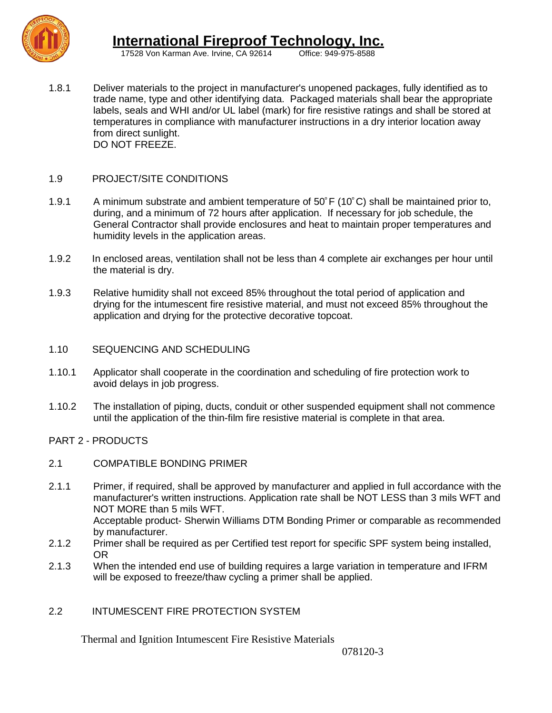

17528 Von Karman Ave. Irvine, CA 92614

1.8.1 Deliver materials to the project in manufacturer's unopened packages, fully identified as to trade name, type and other identifying data. Packaged materials shall bear the appropriate labels, seals and WHI and/or UL label (mark) for fire resistive ratings and shall be stored at temperatures in compliance with manufacturer instructions in a dry interior location away from direct sunlight. DO NOT FREEZE.

### 1.9 PROJECT/SITE CONDITIONS

- 1.9.1 A minimum substrate and ambient temperature of 50°F (10°C) shall be maintained prior to, during, and a minimum of 72 hours after application. If necessary for job schedule, the General Contractor shall provide enclosures and heat to maintain proper temperatures and humidity levels in the application areas.
- 1.9.2 In enclosed areas, ventilation shall not be less than 4 complete air exchanges per hour until the material is dry.
- 1.9.3 Relative humidity shall not exceed 85% throughout the total period of application and drying for the intumescent fire resistive material, and must not exceed 85% throughout the application and drying for the protective decorative topcoat.
- 1.10 SEQUENCING AND SCHEDULING
- 1.10.1 Applicator shall cooperate in the coordination and scheduling of fire protection work to avoid delays in job progress.
- 1.10.2 The installation of piping, ducts, conduit or other suspended equipment shall not commence until the application of the thin-film fire resistive material is complete in that area.

PART 2 - PRODUCTS

- 2.1 COMPATIBLE BONDING PRIMER
- 2.1.1 Primer, if required, shall be approved by manufacturer and applied in full accordance with the manufacturer's written instructions. Application rate shall be NOT LESS than 3 mils WFT and NOT MORE than 5 mils WFT. Acceptable product- Sherwin Williams DTM Bonding Primer or comparable as recommended by manufacturer.
- 2.1.2 Primer shall be required as per Certified test report for specific SPF system being installed, OR
- 2.1.3 When the intended end use of building requires a large variation in temperature and IFRM will be exposed to freeze/thaw cycling a primer shall be applied.

### 2.2 INTUMESCENT FIRE PROTECTION SYSTEM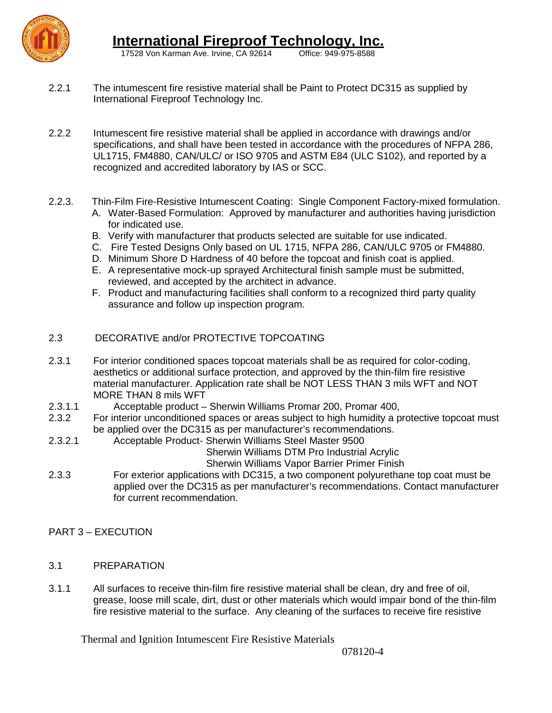

17528 Von Karman Ave. Irvine, CA 92614

- 2.2.1 The intumescent fire resistive material shall be Paint to Protect DC315 as supplied by International Fireproof Technology Inc.
- 2.2.2 Intumescent fire resistive material shall be applied in accordance with drawings and/or specifications, and shall have been tested in accordance with the procedures of NFPA 286, UL1715, FM4880, CAN/ULC/ or ISO 9705 and ASTM E84 (ULC S102), and reported by a recognized and accredited laboratory by IAS or SCC.
- 2.2.3. Thin-Film Fire-Resistive Intumescent Coating: Single Component Factory-mixed formulation. A. Water-Based Formulation: Approved by manufacturer and authorities having jurisdiction for indicated use.
	- B. Verify with manufacturer that products selected are suitable for use indicated.
	- C. Fire Tested Designs Only based on UL 1715, NFPA 286, CAN/ULC 9705 or FM4880.
	- D. Minimum Shore D Hardness of 40 before the topcoat and finish coat is applied.
	- E. A representative mock-up sprayed Architectural finish sample must be submitted, reviewed, and accepted by the architect in advance.
	- F. Product and manufacturing facilities shall conform to a recognized third party quality assurance and follow up inspection program.

### 2.3 DECORATIVE and/or PROTECTIVE TOPCOATING

- 2.3.1 For interior conditioned spaces topcoat materials shall be as required for color-coding, aesthetics or additional surface protection, and approved by the thin-film fire resistive material manufacturer. Application rate shall be NOT LESS THAN 3 mils WFT and NOT MORE THAN 8 mils WFT
- 2.3.1.1 Acceptable product Sherwin Williams Promar 200, Promar 400,
- 2.3.2 For interior unconditioned spaces or areas subject to high humidity a protective topcoat must be applied over the DC315 as per manufacturer's recommendations.
- 2.3.2.1 Acceptable Product- Sherwin Williams Steel Master 9500

Sherwin Williams DTM Pro Industrial Acrylic

Sherwin Williams Vapor Barrier Primer Finish

- 2.3.3 For exterior applications with DC315, a two component polyurethane top coat must be applied over the DC315 as per manufacturer's recommendations. Contact manufacturer for current recommendation.
- PART 3 EXECUTION
- 3.1 PREPARATION
- 3.1.1 All surfaces to receive thin-film fire resistive material shall be clean, dry and free of oil, grease, loose mill scale, dirt, dust or other materials which would impair bond of the thin-film fire resistive material to the surface. Any cleaning of the surfaces to receive fire resistive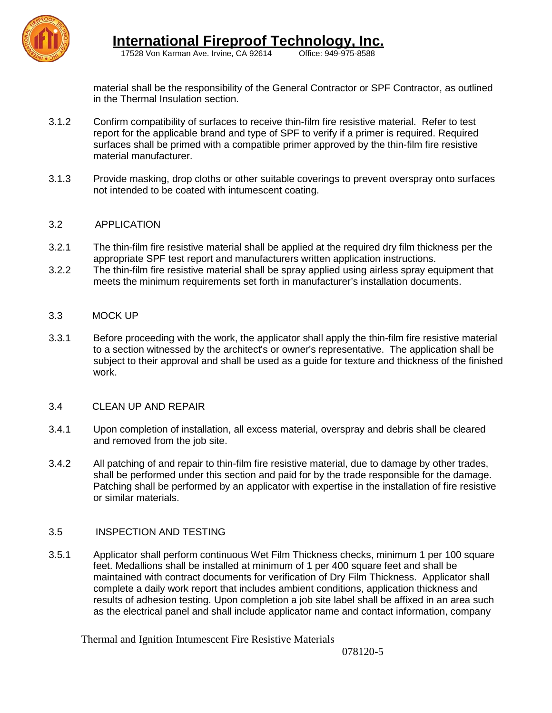

 **International Fireproof Technology, Inc.**

17528 Von Karman Ave. Irvine, CA 92614

material shall be the responsibility of the General Contractor or SPF Contractor, as outlined in the Thermal Insulation section.

- 3.1.2 Confirm compatibility of surfaces to receive thin-film fire resistive material. Refer to test report for the applicable brand and type of SPF to verify if a primer is required. Required surfaces shall be primed with a compatible primer approved by the thin-film fire resistive material manufacturer.
- 3.1.3 Provide masking, drop cloths or other suitable coverings to prevent overspray onto surfaces not intended to be coated with intumescent coating.

### 3.2 APPLICATION

- 3.2.1 The thin-film fire resistive material shall be applied at the required dry film thickness per the appropriate SPF test report and manufacturers written application instructions.
- 3.2.2 The thin-film fire resistive material shall be spray applied using airless spray equipment that meets the minimum requirements set forth in manufacturer's installation documents.

### 3.3 MOCK UP

3.3.1 Before proceeding with the work, the applicator shall apply the thin-film fire resistive material to a section witnessed by the architect's or owner's representative. The application shall be subject to their approval and shall be used as a guide for texture and thickness of the finished work.

### 3.4 CLEAN UP AND REPAIR

- 3.4.1 Upon completion of installation, all excess material, overspray and debris shall be cleared and removed from the job site.
- 3.4.2 All patching of and repair to thin-film fire resistive material, due to damage by other trades, shall be performed under this section and paid for by the trade responsible for the damage. Patching shall be performed by an applicator with expertise in the installation of fire resistive or similar materials.

### 3.5 INSPECTION AND TESTING

3.5.1 Applicator shall perform continuous Wet Film Thickness checks, minimum 1 per 100 square feet. Medallions shall be installed at minimum of 1 per 400 square feet and shall be maintained with contract documents for verification of Dry Film Thickness. Applicator shall complete a daily work report that includes ambient conditions, application thickness and results of adhesion testing. Upon completion a job site label shall be affixed in an area such as the electrical panel and shall include applicator name and contact information, company